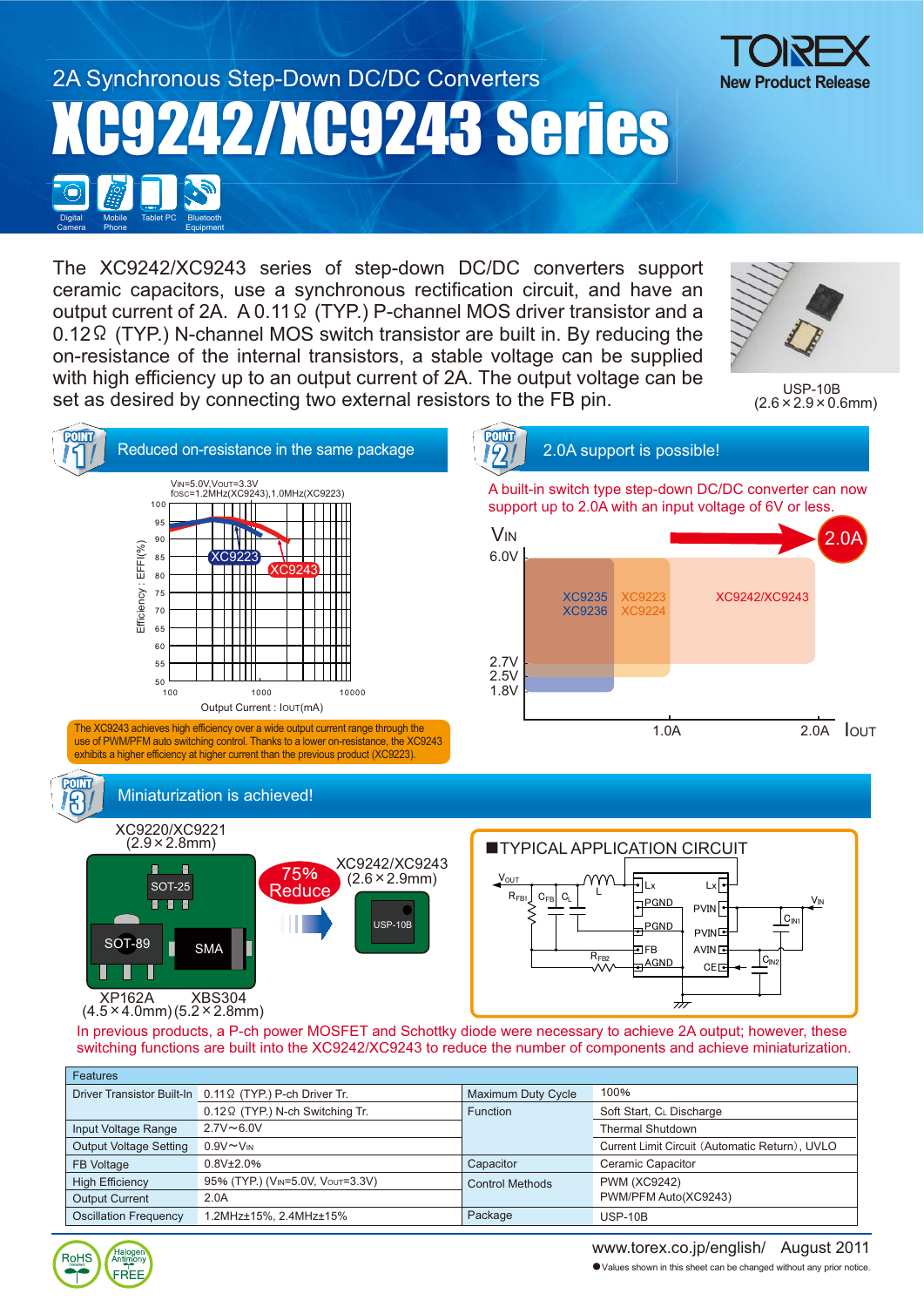# 2A Synchronous Step-Down DC/DC Converters XC9242/XC9243 Series Mobile **Digital** Tablet PC Bluetooth



The XC9242/XC9243 series of step-down DC/DC converters support ceramic capacitors, use a synchronous rectification circuit, and have an output current of 2A.  $A$  0.11 $\Omega$  (TYP.) P-channel MOS driver transistor and a  $0.12\Omega$  (TYP.) N-channel MOS switch transistor are built in. By reducing the on-resistance of the internal transistors, a stable voltage can be supplied with high efficiency up to an output current of 2A. The output voltage can be set as desired by connecting two external resistors to the FB pin.



USP-10B  $(2.6 \times 2.9 \times 0.6$ mm)



| <b>Features</b>               |                                                          |                           |                                                |  |  |
|-------------------------------|----------------------------------------------------------|---------------------------|------------------------------------------------|--|--|
|                               | Driver Transistor Built-In 0.11 Ω (TYP.) P-ch Driver Tr. | <b>Maximum Duty Cycle</b> | 100%                                           |  |  |
|                               | $0.12 \Omega$ (TYP.) N-ch Switching Tr.                  | <b>Function</b>           | Soft Start, CL Discharge                       |  |  |
| Input Voltage Range           | $2.7V \sim 6.0V$                                         |                           | <b>Thermal Shutdown</b>                        |  |  |
| <b>Output Voltage Setting</b> | $0.9V \sim V_{IN}$                                       |                           | Current Limit Circuit (Automatic Return), UVLO |  |  |
| <b>FB Voltage</b>             | $0.8V_{\pm}2.0\%$                                        | Capacitor                 | Ceramic Capacitor                              |  |  |
| <b>High Efficiency</b>        | 95% (TYP.) (VIN=5.0V, VOUT=3.3V)                         | <b>Control Methods</b>    | <b>PWM (XC9242)</b>                            |  |  |
| <b>Output Current</b>         | 2.0A                                                     |                           | PWM/PFM Auto(XC9243)                           |  |  |
| <b>Oscillation Frequency</b>  | 1.2MHz±15%, 2.4MHz±15%                                   | Package                   | $USP-10B$                                      |  |  |



Phone

Equipment

Camera